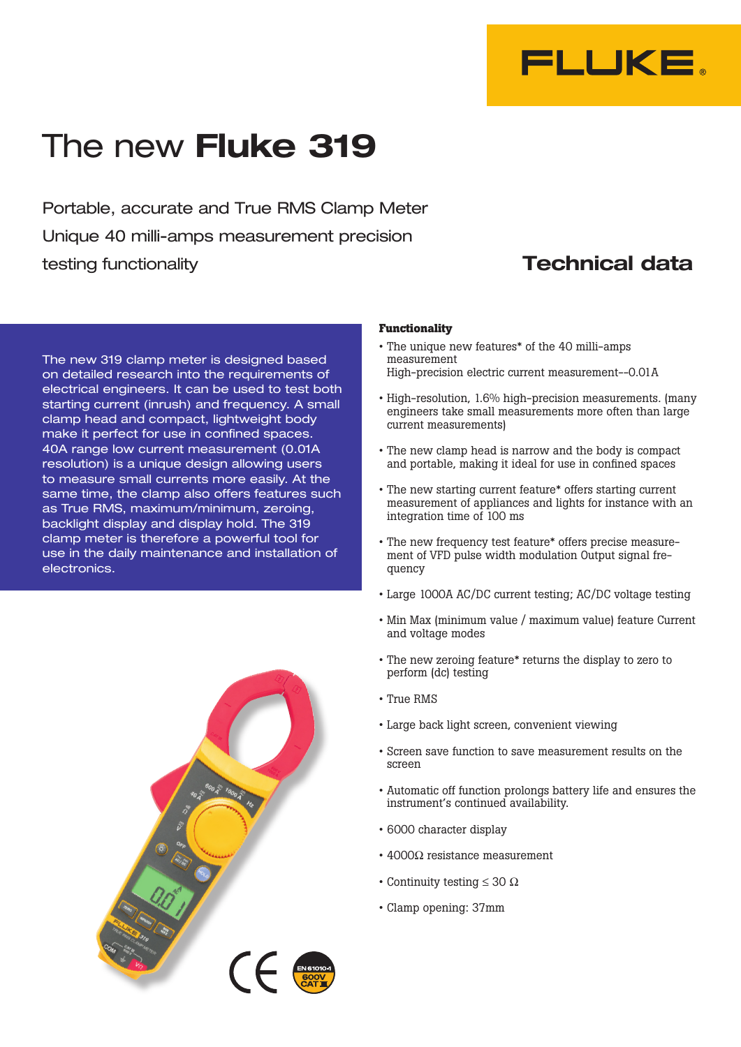

# The new **Fluke 319**

Portable, accurate and True RMS Clamp Meter Unique 40 milli-amps measurement precision testing functionality **Technical data** 

The new 319 clamp meter is designed based on detailed research into the requirements of electrical engineers. It can be used to test both starting current (inrush) and frequency. A small clamp head and compact, lightweight body make it perfect for use in confined spaces. 40A range low current measurement (0.01A resolution) is a unique design allowing users to measure small currents more easily. At the same time, the clamp also offers features such as True RMS, maximum/minimum, zeroing, backlight display and display hold. The 319 clamp meter is therefore a powerful tool for use in the daily maintenance and installation of electronics.



#### **Functionality**

- • The unique new features\* of the 40 milli-amps measurement High-precision electric current measurement--0.01A
- High-resolution, 1.6% high-precision measurements. (many engineers take small measurements more often than large current measurements)
- The new clamp head is narrow and the body is compact and portable, making it ideal for use in confined spaces
- The new starting current feature\* offers starting current measurement of appliances and lights for instance with an integration time of 100 ms
- • The new frequency test feature\* offers precise measurement of VFD pulse width modulation Output signal frequency
- • Large 1000A AC/DC current testing; AC/DC voltage testing
- Min Max (minimum value / maximum value) feature Current and voltage modes
- The new zeroing feature\* returns the display to zero to perform (dc) testing
- • True RMS
- • Large back light screen, convenient viewing
- • Screen save function to save measurement results on the screen
- • Automatic off function prolongs battery life and ensures the instrument's continued availability.
- • 6000 character display
- $4000Ω$  resistance measurement
- Continuity testing  $\leq 30 \Omega$
- • Clamp opening: 37mm